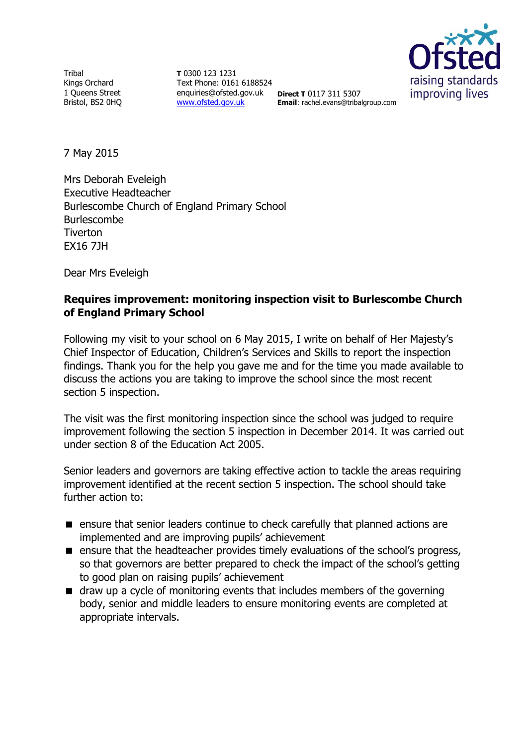**Tribal** Kings Orchard 1 Queens Street Bristol, BS2 0HQ

**T** 0300 123 1231 Text Phone: 0161 6188524 enquiries@ofsted.gov.uk **Direct T** 0117 311 5307 [www.ofsted.gov.uk](http://www.ofsted.gov.uk/)



**Email**: rachel.evans@tribalgroup.com

7 May 2015

Mrs Deborah Eveleigh Executive Headteacher Burlescombe Church of England Primary School Burlescombe Tiverton EX16 7JH

Dear Mrs Eveleigh

#### **Requires improvement: monitoring inspection visit to Burlescombe Church of England Primary School**

Following my visit to your school on 6 May 2015, I write on behalf of Her Majesty's Chief Inspector of Education, Children's Services and Skills to report the inspection findings. Thank you for the help you gave me and for the time you made available to discuss the actions you are taking to improve the school since the most recent section 5 inspection.

The visit was the first monitoring inspection since the school was judged to require improvement following the section 5 inspection in December 2014. It was carried out under section 8 of the Education Act 2005.

Senior leaders and governors are taking effective action to tackle the areas requiring improvement identified at the recent section 5 inspection. The school should take further action to:

- **E** ensure that senior leaders continue to check carefully that planned actions are implemented and are improving pupils' achievement
- **E** ensure that the headteacher provides timely evaluations of the school's progress, so that governors are better prepared to check the impact of the school's getting to good plan on raising pupils' achievement
- draw up a cycle of monitoring events that includes members of the governing body, senior and middle leaders to ensure monitoring events are completed at appropriate intervals.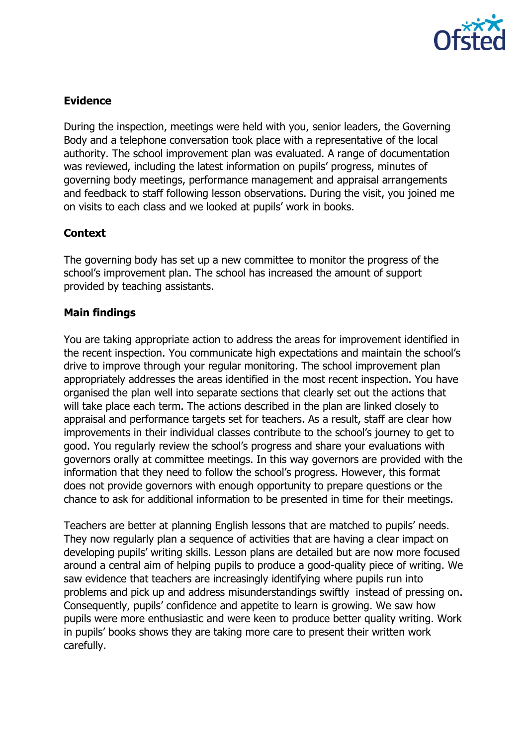

## **Evidence**

During the inspection, meetings were held with you, senior leaders, the Governing Body and a telephone conversation took place with a representative of the local authority. The school improvement plan was evaluated. A range of documentation was reviewed, including the latest information on pupils' progress, minutes of governing body meetings, performance management and appraisal arrangements and feedback to staff following lesson observations. During the visit, you joined me on visits to each class and we looked at pupils' work in books.

## **Context**

The governing body has set up a new committee to monitor the progress of the school's improvement plan. The school has increased the amount of support provided by teaching assistants.

### **Main findings**

You are taking appropriate action to address the areas for improvement identified in the recent inspection. You communicate high expectations and maintain the school's drive to improve through your regular monitoring. The school improvement plan appropriately addresses the areas identified in the most recent inspection. You have organised the plan well into separate sections that clearly set out the actions that will take place each term. The actions described in the plan are linked closely to appraisal and performance targets set for teachers. As a result, staff are clear how improvements in their individual classes contribute to the school's journey to get to good. You regularly review the school's progress and share your evaluations with governors orally at committee meetings. In this way governors are provided with the information that they need to follow the school's progress. However, this format does not provide governors with enough opportunity to prepare questions or the chance to ask for additional information to be presented in time for their meetings.

Teachers are better at planning English lessons that are matched to pupils' needs. They now regularly plan a sequence of activities that are having a clear impact on developing pupils' writing skills. Lesson plans are detailed but are now more focused around a central aim of helping pupils to produce a good-quality piece of writing. We saw evidence that teachers are increasingly identifying where pupils run into problems and pick up and address misunderstandings swiftly instead of pressing on. Consequently, pupils' confidence and appetite to learn is growing. We saw how pupils were more enthusiastic and were keen to produce better quality writing. Work in pupils' books shows they are taking more care to present their written work carefully.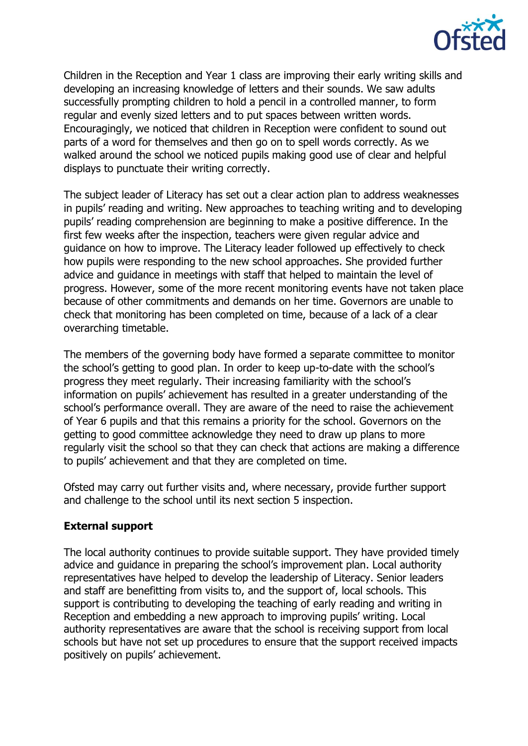

Children in the Reception and Year 1 class are improving their early writing skills and developing an increasing knowledge of letters and their sounds. We saw adults successfully prompting children to hold a pencil in a controlled manner, to form regular and evenly sized letters and to put spaces between written words. Encouragingly, we noticed that children in Reception were confident to sound out parts of a word for themselves and then go on to spell words correctly. As we walked around the school we noticed pupils making good use of clear and helpful displays to punctuate their writing correctly.

The subject leader of Literacy has set out a clear action plan to address weaknesses in pupils' reading and writing. New approaches to teaching writing and to developing pupils' reading comprehension are beginning to make a positive difference. In the first few weeks after the inspection, teachers were given regular advice and guidance on how to improve. The Literacy leader followed up effectively to check how pupils were responding to the new school approaches. She provided further advice and guidance in meetings with staff that helped to maintain the level of progress. However, some of the more recent monitoring events have not taken place because of other commitments and demands on her time. Governors are unable to check that monitoring has been completed on time, because of a lack of a clear overarching timetable.

The members of the governing body have formed a separate committee to monitor the school's getting to good plan. In order to keep up-to-date with the school's progress they meet regularly. Their increasing familiarity with the school's information on pupils' achievement has resulted in a greater understanding of the school's performance overall. They are aware of the need to raise the achievement of Year 6 pupils and that this remains a priority for the school. Governors on the getting to good committee acknowledge they need to draw up plans to more regularly visit the school so that they can check that actions are making a difference to pupils' achievement and that they are completed on time.

Ofsted may carry out further visits and, where necessary, provide further support and challenge to the school until its next section 5 inspection.

# **External support**

The local authority continues to provide suitable support. They have provided timely advice and guidance in preparing the school's improvement plan. Local authority representatives have helped to develop the leadership of Literacy. Senior leaders and staff are benefitting from visits to, and the support of, local schools. This support is contributing to developing the teaching of early reading and writing in Reception and embedding a new approach to improving pupils' writing. Local authority representatives are aware that the school is receiving support from local schools but have not set up procedures to ensure that the support received impacts positively on pupils' achievement.